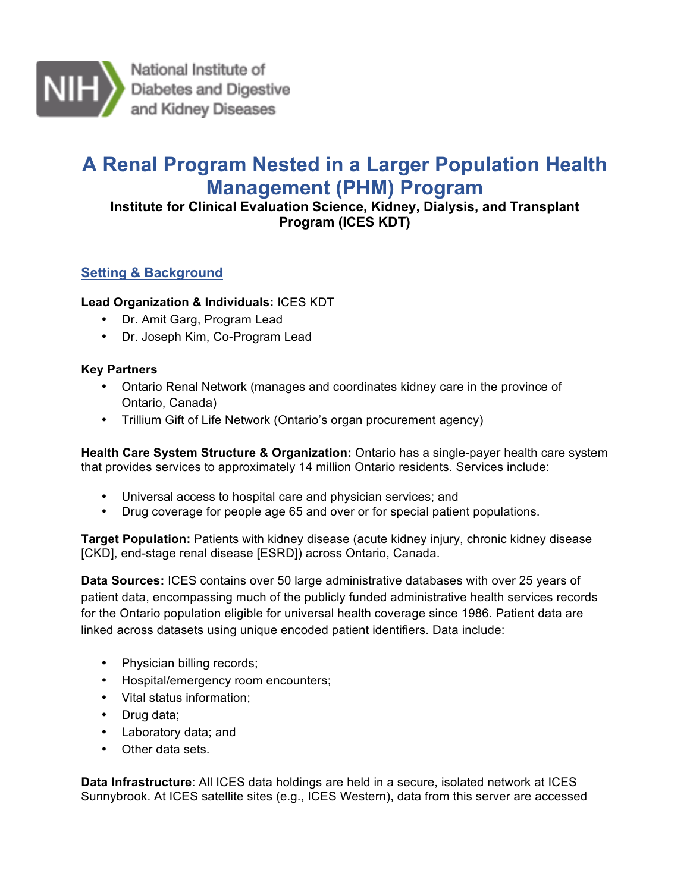

National Institute of Diabetes and Digestive and Kidney Diseases

# **A Renal Program Nested in a Larger Population Health Management (PHM) Program**

 **Institute for Clinical Evaluation Science, Kidney, Dialysis, and Transplant Program (ICES KDT)** 

# **Setting & Background**

## **Lead Organization & Individuals:** ICES KDT

- Dr. Amit Garg, Program Lead
- Dr. Joseph Kim, Co-Program Lead

## **Key Partners**

- • Ontario Renal Network (manages and coordinates kidney care in the province of Ontario, Canada)
- Trillium Gift of Life Network (Ontario's organ procurement agency)

 **Health Care System Structure & Organization:** Ontario has a single-payer health care system that provides services to approximately 14 million Ontario residents. Services include:

- Universal access to hospital care and physician services; and
- Drug coverage for people age 65 and over or for special patient populations.

 **Target Population:** Patients with kidney disease (acute kidney injury, chronic kidney disease [CKD], end-stage renal disease [ESRD]) across Ontario, Canada.

 **Data Sources:** ICES contains over 50 large administrative databases with over 25 years of patient data, encompassing much of the publicly funded administrative health services records for the Ontario population eligible for universal health coverage since 1986. Patient data are linked across datasets using unique encoded patient identifiers. Data include:

- Physician billing records;
- Hospital/emergency room encounters;
- Vital status information;
- Drug data;
- Laboratory data; and
- Other data sets.

 **Data Infrastructure**: All ICES data holdings are held in a secure, isolated network at ICES Sunnybrook. At ICES satellite sites (e.g., ICES Western), data from this server are accessed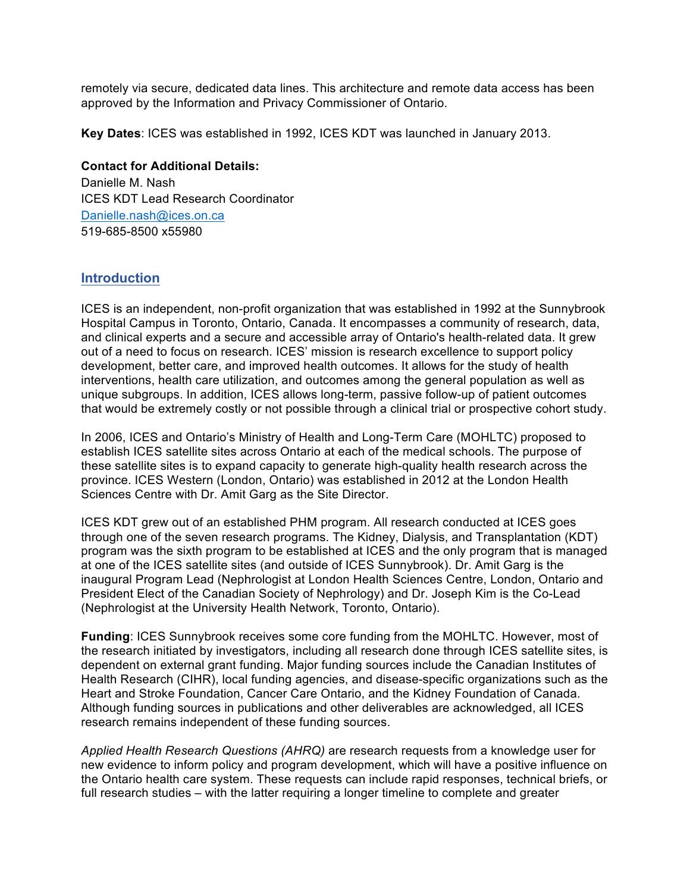remotely via secure, dedicated data lines. This architecture and remote data access has been approved by the Information and Privacy Commissioner of Ontario.

**Key Dates**: ICES was established in 1992, ICES KDT was launched in January 2013.

#### **Contact for Additional Details:**

 Danielle M. Nash ICES KDT Lead Research Coordinator Danielle.nash@ices.on.ca 519-685-8500 x55980

## **Introduction**

 ICES is an independent, non-profit organization that was established in 1992 at the Sunnybrook Hospital Campus in Toronto, Ontario, Canada. It encompasses a community of research, data, and clinical experts and a secure and accessible array of Ontario's health-related data. It grew out of a need to focus on research. ICES' mission is research excellence to support policy development, better care, and improved health outcomes. It allows for the study of health interventions, health care utilization, and outcomes among the general population as well as unique subgroups. In addition, ICES allows long-term, passive follow-up of patient outcomes that would be extremely costly or not possible through a clinical trial or prospective cohort study.

 In 2006, ICES and Ontario's Ministry of Health and Long-Term Care (MOHLTC) proposed to establish ICES satellite sites across Ontario at each of the medical schools. The purpose of these satellite sites is to expand capacity to generate high-quality health research across the Sciences Centre with Dr. Amit Garg as the Site Director. province. ICES Western (London, Ontario) was established in 2012 at the London Health

 ICES KDT grew out of an established PHM program. All research conducted at ICES goes program was the sixth program to be established at ICES and the only program that is managed at one of the ICES satellite sites (and outside of ICES Sunnybrook). Dr. Amit Garg is the inaugural Program Lead (Nephrologist at London Health Sciences Centre, London, Ontario and President Elect of the Canadian Society of Nephrology) and Dr. Joseph Kim is the Co-Lead (Nephrologist at the University Health Network, Toronto, Ontario). through one of the seven research programs. The Kidney, Dialysis, and Transplantation (KDT)

 dependent on external grant funding. Major funding sources include the Canadian Institutes of Health Research (CIHR), local funding agencies, and disease-specific organizations such as the Heart and Stroke Foundation, Cancer Care Ontario, and the Kidney Foundation of Canada. Although funding sources in publications and other deliverables are acknowledged, all ICES research remains independent of these funding sources. **Funding**: ICES Sunnybrook receives some core funding from the MOHLTC. However, most of the research initiated by investigators, including all research done through ICES satellite sites, is

 *Applied Health Research Questions (AHRQ)* are research requests from a knowledge user for new evidence to inform policy and program development, which will have a positive influence on the Ontario health care system. These requests can include rapid responses, technical briefs, or full research studies – with the latter requiring a longer timeline to complete and greater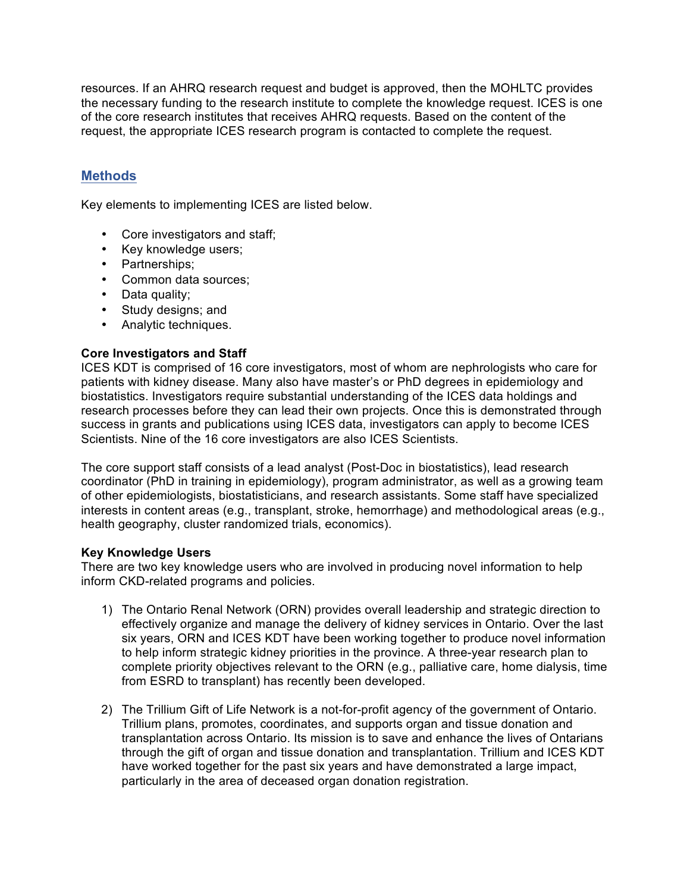resources. If an AHRQ research request and budget is approved, then the MOHLTC provides of the core research institutes that receives AHRQ requests. Based on the content of the request, the appropriate ICES research program is contacted to complete the request. the necessary funding to the research institute to complete the knowledge request. ICES is one

# **Methods**

Key elements to implementing ICES are listed below.

- Core investigators and staff;
- Key knowledge users;
- Partnerships;
- Common data sources;
- Data quality;
- Study designs; and
- Analytic techniques.

#### **Core Investigators and Staff**

 patients with kidney disease. Many also have master's or PhD degrees in epidemiology and biostatistics. Investigators require substantial understanding of the ICES data holdings and research processes before they can lead their own projects. Once this is demonstrated through success in grants and publications using ICES data, investigators can apply to become ICES Scientists. Nine of the 16 core investigators are also ICES Scientists. ICES KDT is comprised of 16 core investigators, most of whom are nephrologists who care for

 The core support staff consists of a lead analyst (Post-Doc in biostatistics), lead research coordinator (PhD in training in epidemiology), program administrator, as well as a growing team of other epidemiologists, biostatisticians, and research assistants. Some staff have specialized interests in content areas (e.g., transplant, stroke, hemorrhage) and methodological areas (e.g., health geography, cluster randomized trials, economics).

#### **Key Knowledge Users**

 There are two key knowledge users who are involved in producing novel information to help inform CKD-related programs and policies.

- 1) The Ontario Renal Network (ORN) provides overall leadership and strategic direction to effectively organize and manage the delivery of kidney services in Ontario. Over the last six years, ORN and ICES KDT have been working together to produce novel information to help inform strategic kidney priorities in the province. A three-year research plan to complete priority objectives relevant to the ORN (e.g., palliative care, home dialysis, time from ESRD to transplant) has recently been developed.
- 2) The Trillium Gift of Life Network is a not-for-profit agency of the government of Ontario. Trillium plans, promotes, coordinates, and supports organ and tissue donation and through the gift of organ and tissue donation and transplantation. Trillium and ICES KDT have worked together for the past six years and have demonstrated a large impact, transplantation across Ontario. Its mission is to save and enhance the lives of Ontarians particularly in the area of deceased organ donation registration.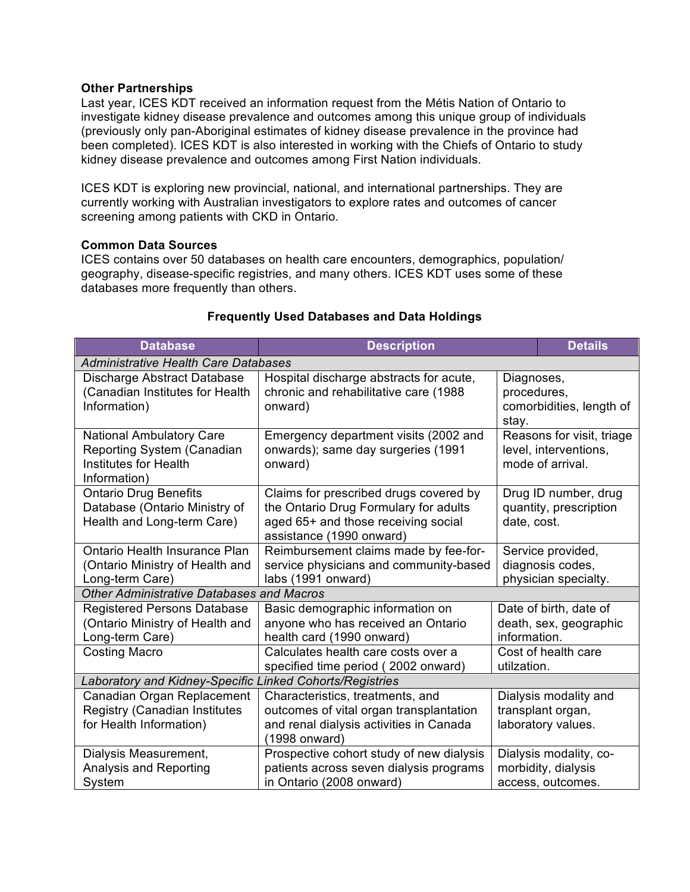#### **Other Partnerships**

 Last year, ICES KDT received an information request from the Métis Nation of Ontario to investigate kidney disease prevalence and outcomes among this unique group of individuals (previously only pan-Aboriginal estimates of kidney disease prevalence in the province had been completed). ICES KDT is also interested in working with the Chiefs of Ontario to study kidney disease prevalence and outcomes among First Nation individuals.

 ICES KDT is exploring new provincial, national, and international partnerships. They are currently working with Australian investigators to explore rates and outcomes of cancer screening among patients with CKD in Ontario.

#### **Common Data Sources**

 geography, disease-specific registries, and many others. ICES KDT uses some of these ICES contains over 50 databases on health care encounters, demographics, population/ databases more frequently than others.

| <b>Database</b>                                                                                        | <b>Description</b>                                                                                                                                 |                                                                        | <b>Details</b>                                                     |  |
|--------------------------------------------------------------------------------------------------------|----------------------------------------------------------------------------------------------------------------------------------------------------|------------------------------------------------------------------------|--------------------------------------------------------------------|--|
| <b>Administrative Health Care Databases</b>                                                            |                                                                                                                                                    |                                                                        |                                                                    |  |
| Discharge Abstract Database<br>(Canadian Institutes for Health<br>Information)                         | Hospital discharge abstracts for acute,<br>chronic and rehabilitative care (1988<br>onward)                                                        | Diagnoses,<br>procedures,<br>comorbidities, length of<br>stay.         |                                                                    |  |
| National Ambulatory Care<br>Reporting System (Canadian<br><b>Institutes for Health</b><br>Information) | Emergency department visits (2002 and<br>onwards); same day surgeries (1991<br>onward)                                                             | Reasons for visit, triage<br>level, interventions,<br>mode of arrival. |                                                                    |  |
| <b>Ontario Drug Benefits</b><br>Database (Ontario Ministry of<br>Health and Long-term Care)            | Claims for prescribed drugs covered by<br>the Ontario Drug Formulary for adults<br>aged 65+ and those receiving social<br>assistance (1990 onward) | date, cost.                                                            | Drug ID number, drug<br>quantity, prescription                     |  |
| Ontario Health Insurance Plan<br>(Ontario Ministry of Health and<br>Long-term Care)                    | Reimbursement claims made by fee-for-<br>service physicians and community-based<br>labs (1991 onward)                                              |                                                                        | Service provided,<br>diagnosis codes,<br>physician specialty.      |  |
| <b>Other Administrative Databases and Macros</b>                                                       |                                                                                                                                                    |                                                                        |                                                                    |  |
| <b>Registered Persons Database</b><br>(Ontario Ministry of Health and<br>Long-term Care)               | Basic demographic information on<br>anyone who has received an Ontario<br>health card (1990 onward)                                                | information.                                                           | Date of birth, date of<br>death, sex, geographic                   |  |
| <b>Costing Macro</b>                                                                                   | Calculates health care costs over a<br>specified time period (2002 onward)                                                                         | utilzation.                                                            | Cost of health care                                                |  |
| Laboratory and Kidney-Specific Linked Cohorts/Registries                                               |                                                                                                                                                    |                                                                        |                                                                    |  |
| Canadian Organ Replacement<br><b>Registry (Canadian Institutes)</b><br>for Health Information)         | Characteristics, treatments, and<br>outcomes of vital organ transplantation<br>and renal dialysis activities in Canada<br>(1998 onward)            |                                                                        | Dialysis modality and<br>transplant organ,<br>laboratory values.   |  |
| Dialysis Measurement,<br>Analysis and Reporting<br>System                                              | Prospective cohort study of new dialysis<br>patients across seven dialysis programs<br>in Ontario (2008 onward)                                    |                                                                        | Dialysis modality, co-<br>morbidity, dialysis<br>access, outcomes. |  |

#### **Frequently Used Databases and Data Holdings**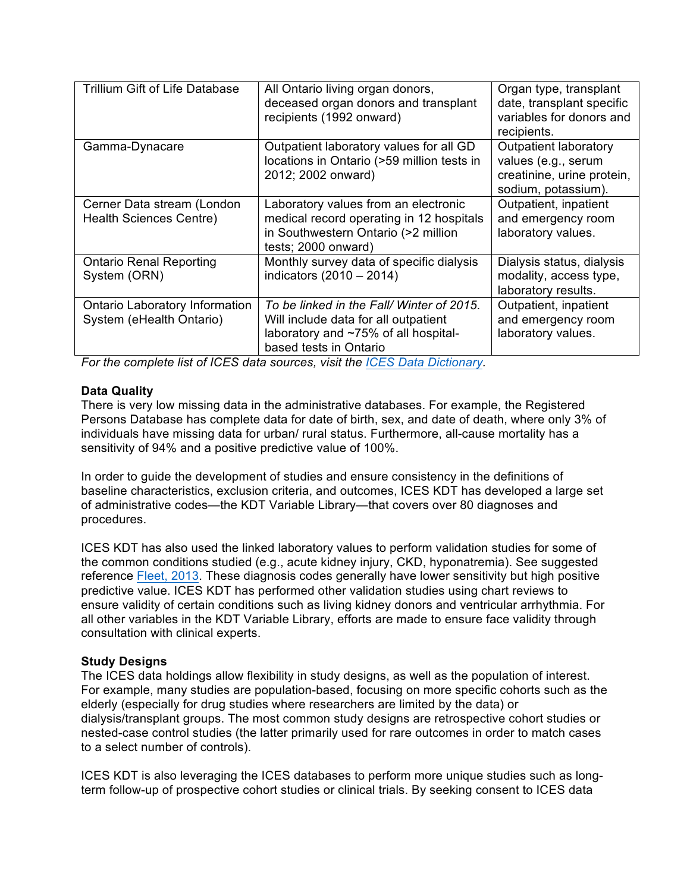| Trillium Gift of Life Database                                    | All Ontario living organ donors,<br>deceased organ donors and transplant<br>recipients (1992 onward)                                               | Organ type, transplant<br>date, transplant specific<br>variables for donors and<br>recipients.           |
|-------------------------------------------------------------------|----------------------------------------------------------------------------------------------------------------------------------------------------|----------------------------------------------------------------------------------------------------------|
| Gamma-Dynacare                                                    | Outpatient laboratory values for all GD<br>locations in Ontario (>59 million tests in<br>2012; 2002 onward)                                        | <b>Outpatient laboratory</b><br>values (e.g., serum<br>creatinine, urine protein,<br>sodium, potassium). |
| Cerner Data stream (London<br><b>Health Sciences Centre)</b>      | Laboratory values from an electronic<br>medical record operating in 12 hospitals<br>in Southwestern Ontario (>2 million<br>tests; 2000 onward)     | Outpatient, inpatient<br>and emergency room<br>laboratory values.                                        |
| <b>Ontario Renal Reporting</b><br>System (ORN)                    | Monthly survey data of specific dialysis<br>indicators $(2010 - 2014)$                                                                             | Dialysis status, dialysis<br>modality, access type,<br>laboratory results.                               |
| <b>Ontario Laboratory Information</b><br>System (eHealth Ontario) | To be linked in the Fall/Winter of 2015.<br>Will include data for all outpatient<br>laboratory and ~75% of all hospital-<br>based tests in Ontario | Outpatient, inpatient<br>and emergency room<br>laboratory values.                                        |

 *For the complete list of ICES data sources, visit the ICES Data Dictionary.* 

#### **Data Quality**

 There is very low missing data in the administrative databases. For example, the Registered Persons Database has complete data for date of birth, sex, and date of death, where only 3% of individuals have missing data for urban/ rural status. Furthermore, all-cause mortality has a sensitivity of 94% and a positive predictive value of 100%.

 In order to guide the development of studies and ensure consistency in the definitions of baseline characteristics, exclusion criteria, and outcomes, ICES KDT has developed a large set of administrative codes—the KDT Variable Library—that covers over 80 diagnoses and procedures.

 ICES KDT has also used the linked laboratory values to perform validation studies for some of the common conditions studied (e.g., acute kidney injury, CKD, hyponatremia). See suggested reference **Fleet, 2013**. These diagnosis codes generally have lower sensitivity but high positive predictive value. ICES KDT has performed other validation studies using chart reviews to ensure validity of certain conditions such as living kidney donors and ventricular arrhythmia. For all other variables in the KDT Variable Library, efforts are made to ensure face validity through consultation with clinical experts.

#### **Study Designs**

 The ICES data holdings allow flexibility in study designs, as well as the population of interest. For example, many studies are population-based, focusing on more specific cohorts such as the elderly (especially for drug studies where researchers are limited by the data) or dialysis/transplant groups. The most common study designs are retrospective cohort studies or nested-case control studies (the latter primarily used for rare outcomes in order to match cases to a select number of controls).

 ICES KDT is also leveraging the ICES databases to perform more unique studies such as long-term follow-up of prospective cohort studies or clinical trials. By seeking consent to ICES data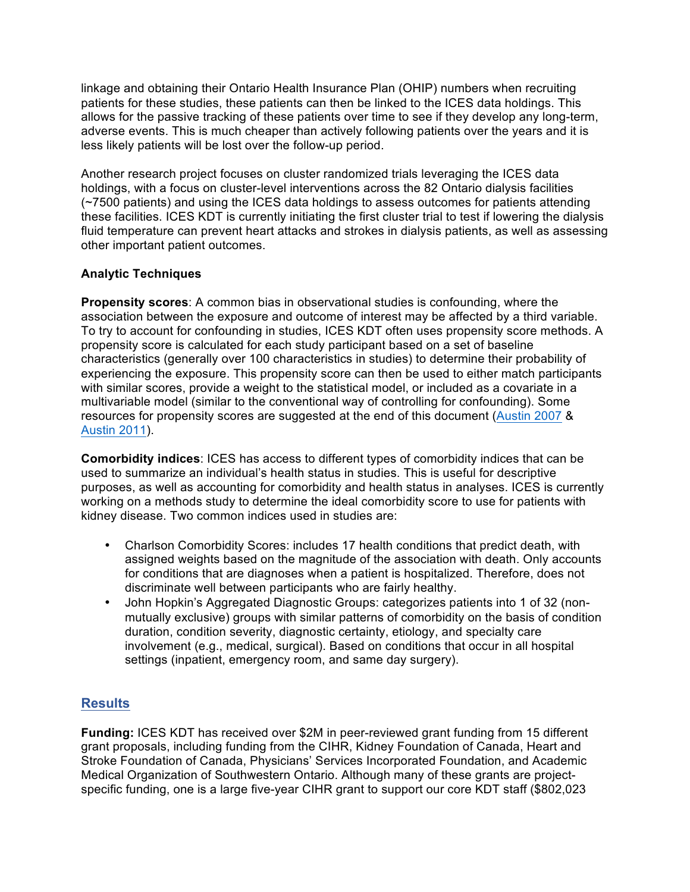linkage and obtaining their Ontario Health Insurance Plan (OHIP) numbers when recruiting patients for these studies, these patients can then be linked to the ICES data holdings. This allows for the passive tracking of these patients over time to see if they develop any long-term, adverse events. This is much cheaper than actively following patients over the years and it is less likely patients will be lost over the follow-up period.

 Another research project focuses on cluster randomized trials leveraging the ICES data holdings, with a focus on cluster-level interventions across the 82 Ontario dialysis facilities (~7500 patients) and using the ICES data holdings to assess outcomes for patients attending these facilities. ICES KDT is currently initiating the first cluster trial to test if lowering the dialysis fluid temperature can prevent heart attacks and strokes in dialysis patients, as well as assessing other important patient outcomes.

## **Analytic Techniques**

 **Propensity scores**: A common bias in observational studies is confounding, where the association between the exposure and outcome of interest may be affected by a third variable. To try to account for confounding in studies, ICES KDT often uses propensity score methods. A propensity score is calculated for each study participant based on a set of baseline characteristics (generally over 100 characteristics in studies) to determine their probability of experiencing the exposure. This propensity score can then be used to either match participants with similar scores, provide a weight to the statistical model, or included as a covariate in a multivariable model (similar to the conventional way of controlling for confounding). Some resources for propensity scores are suggested at the end of this document (Austin 2007 & Austin 2011).

 **Comorbidity indices**: ICES has access to different types of comorbidity indices that can be purposes, as well as accounting for comorbidity and health status in analyses. ICES is currently working on a methods study to determine the ideal comorbidity score to use for patients with kidney disease. Two common indices used in studies are: used to summarize an individual's health status in studies. This is useful for descriptive

- $\bullet$  assigned weights based on the magnitude of the association with death. Only accounts discriminate well between participants who are fairly healthy. • Charlson Comorbidity Scores: includes 17 health conditions that predict death, with for conditions that are diagnoses when a patient is hospitalized. Therefore, does not
- • John Hopkin's Aggregated Diagnostic Groups: categorizes patients into 1 of 32 (non- mutually exclusive) groups with similar patterns of comorbidity on the basis of condition duration, condition severity, diagnostic certainty, etiology, and specialty care involvement (e.g., medical, surgical). Based on conditions that occur in all hospital settings (inpatient, emergency room, and same day surgery).

# **Results**

**Results**<br>F**unding:** ICES KDT has received over \$2M in peer-reviewed grant funding from 15 different grant proposals, including funding from the CIHR, Kidney Foundation of Canada, Heart and Stroke Foundation of Canada, Physicians' Services Incorporated Foundation, and Academic Medical Organization of Southwestern Ontario. Although many of these grants are project-specific funding, one is a large five-year CIHR grant to support our core KDT staff (\$802,023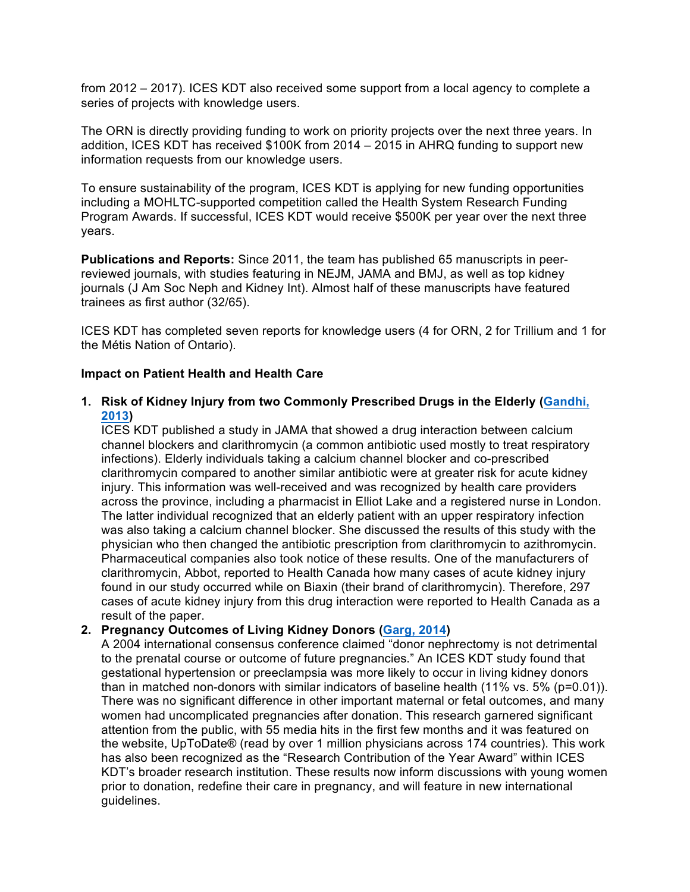from 2012 – 2017). ICES KDT also received some support from a local agency to complete a series of projects with knowledge users.

 The ORN is directly providing funding to work on priority projects over the next three years. In addition, ICES KDT has received \$100K from 2014 – 2015 in AHRQ funding to support new information requests from our knowledge users.

 To ensure sustainability of the program, ICES KDT is applying for new funding opportunities including a MOHLTC-supported competition called the Health System Research Funding Program Awards. If successful, ICES KDT would receive \$500K per year over the next three years.

 **Publications and Reports:** Since 2011, the team has published 65 manuscripts in peer- reviewed journals, with studies featuring in NEJM, JAMA and BMJ, as well as top kidney journals (J Am Soc Neph and Kidney Int). Almost half of these manuscripts have featured trainees as first author (32/65).

 ICES KDT has completed seven reports for knowledge users (4 for ORN, 2 for Trillium and 1 for the Métis Nation of Ontario).

#### **Impact on Patient Health and Health Care**

 **1. Risk of Kidney Injury from two Commonly Prescribed Drugs in the Elderly (Gandhi, 2013)** 

 ICES KDT published a study in JAMA that showed a drug interaction between calcium channel blockers and clarithromycin (a common antibiotic used mostly to treat respiratory infections). Elderly individuals taking a calcium channel blocker and co-prescribed clarithromycin compared to another similar antibiotic were at greater risk for acute kidney injury. This information was well-received and was recognized by health care providers across the province, including a pharmacist in Elliot Lake and a registered nurse in London. The latter individual recognized that an elderly patient with an upper respiratory infection was also taking a calcium channel blocker. She discussed the results of this study with the physician who then changed the antibiotic prescription from clarithromycin to azithromycin. Pharmaceutical companies also took notice of these results. One of the manufacturers of clarithromycin, Abbot, reported to Health Canada how many cases of acute kidney injury found in our study occurred while on Biaxin (their brand of clarithromycin). Therefore, 297 cases of acute kidney injury from this drug interaction were reported to Health Canada as a result of the paper.

#### **2. Pregnancy Outcomes of Living Kidney Donors (Garg, 2014)**

 A 2004 international consensus conference claimed "donor nephrectomy is not detrimental to the prenatal course or outcome of future pregnancies." An ICES KDT study found that gestational hypertension or preeclampsia was more likely to occur in living kidney donors than in matched non-donors with similar indicators of baseline health (11% vs. 5% (p=0.01)). There was no significant difference in other important maternal or fetal outcomes, and many women had uncomplicated pregnancies after donation. This research garnered significant attention from the public, with 55 media hits in the first few months and it was featured on the website, UpToDate® (read by over 1 million physicians across 174 countries). This work has also been recognized as the "Research Contribution of the Year Award" within ICES KDT's broader research institution. These results now inform discussions with young women prior to donation, redefine their care in pregnancy, and will feature in new international guidelines.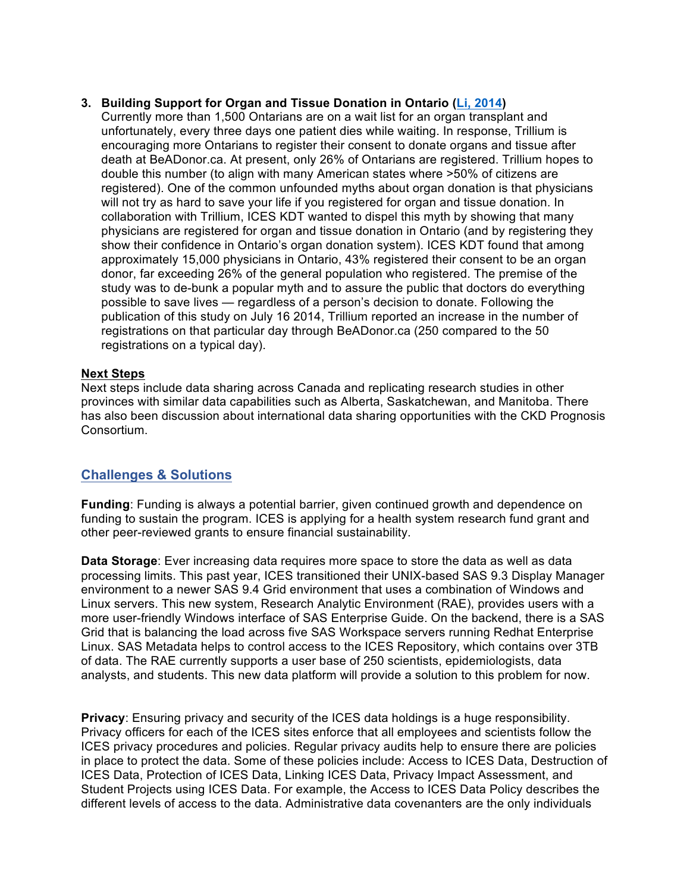#### **3. Building Support for Organ and Tissue Donation in Ontario (Li, 2014)**

 Currently more than 1,500 Ontarians are on a wait list for an organ transplant and unfortunately, every three days one patient dies while waiting. In response, Trillium is encouraging more Ontarians to register their consent to donate organs and tissue after death at BeADonor.ca. At present, only 26% of Ontarians are registered. Trillium hopes to double this number (to align with many American states where >50% of citizens are registered). One of the common unfounded myths about organ donation is that physicians will not try as hard to save your life if you registered for organ and tissue donation. In collaboration with Trillium, ICES KDT wanted to dispel this myth by showing that many physicians are registered for organ and tissue donation in Ontario (and by registering they show their confidence in Ontario's organ donation system). ICES KDT found that among approximately 15,000 physicians in Ontario, 43% registered their consent to be an organ donor, far exceeding 26% of the general population who registered. The premise of the study was to de-bunk a popular myth and to assure the public that doctors do everything possible to save lives — regardless of a person's decision to donate. Following the publication of this study on July 16 2014, Trillium reported an increase in the number of registrations on that particular day through BeADonor.ca (250 compared to the 50 registrations on a typical day).

#### **Next Steps**

 Next steps include data sharing across Canada and replicating research studies in other provinces with similar data capabilities such as Alberta, Saskatchewan, and Manitoba. There has also been discussion about international data sharing opportunities with the CKD Prognosis Consortium.

# **Challenges & Solutions**

**Challenges & Solutions**<br>**Funding**: Funding is always a potential barrier, given continued growth and dependence on other peer-reviewed grants to ensure financial sustainability. funding to sustain the program. ICES is applying for a health system research fund grant and

 **Data Storage**: Ever increasing data requires more space to store the data as well as data processing limits. This past year, ICES transitioned their UNIX-based SAS 9.3 Display Manager environment to a newer SAS 9.4 Grid environment that uses a combination of Windows and Linux servers. This new system, Research Analytic Environment (RAE), provides users with a more user-friendly Windows interface of SAS Enterprise Guide. On the backend, there is a SAS Grid that is balancing the load across five SAS Workspace servers running Redhat Enterprise Linux. SAS Metadata helps to control access to the ICES Repository, which contains over 3TB of data. The RAE currently supports a user base of 250 scientists, epidemiologists, data analysts, and students. This new data platform will provide a solution to this problem for now.

 **Privacy**: Ensuring privacy and security of the ICES data holdings is a huge responsibility. Privacy officers for each of the ICES sites enforce that all employees and scientists follow the in place to protect the data. Some of these policies include: Access to ICES Data, Destruction of Student Projects using ICES Data. For example, the Access to ICES Data Policy describes the different levels of access to the data. Administrative data covenanters are the only individuals ICES privacy procedures and policies. Regular privacy audits help to ensure there are policies ICES Data, Protection of ICES Data, Linking ICES Data, Privacy Impact Assessment, and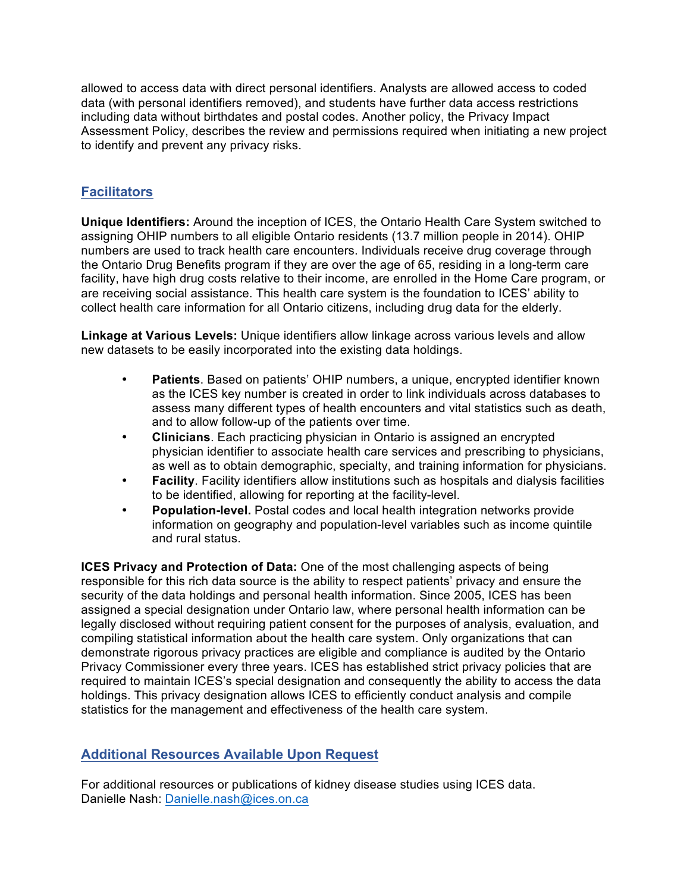allowed to access data with direct personal identifiers. Analysts are allowed access to coded data (with personal identifiers removed), and students have further data access restrictions including data without birthdates and postal codes. Another policy, the Privacy Impact Assessment Policy, describes the review and permissions required when initiating a new project to identify and prevent any privacy risks.

# **Facilitators**

 **Unique Identifiers:** Around the inception of ICES, the Ontario Health Care System switched to assigning OHIP numbers to all eligible Ontario residents (13.7 million people in 2014). OHIP numbers are used to track health care encounters. Individuals receive drug coverage through the Ontario Drug Benefits program if they are over the age of 65, residing in a long-term care facility, have high drug costs relative to their income, are enrolled in the Home Care program, or are receiving social assistance. This health care system is the foundation to ICES' ability to collect health care information for all Ontario citizens, including drug data for the elderly.

 **Linkage at Various Levels:** Unique identifiers allow linkage across various levels and allow new datasets to be easily incorporated into the existing data holdings.

- • **Patients**. Based on patients' OHIP numbers, a unique, encrypted identifier known as the ICES key number is created in order to link individuals across databases to assess many different types of health encounters and vital statistics such as death, and to allow follow-up of the patients over time.
- • **Clinicians**. Each practicing physician in Ontario is assigned an encrypted as well as to obtain demographic, specialty, and training information for physicians. physician identifier to associate health care services and prescribing to physicians,
- • **Facility**. Facility identifiers allow institutions such as hospitals and dialysis facilities to be identified, allowing for reporting at the facility-level.
- • **Population-level.** Postal codes and local health integration networks provide information on geography and population-level variables such as income quintile and rural status.

 **ICES Privacy and Protection of Data:** One of the most challenging aspects of being security of the data holdings and personal health information. Since 2005, ICES has been legally disclosed without requiring patient consent for the purposes of analysis, evaluation, and compiling statistical information about the health care system. Only organizations that can demonstrate rigorous privacy practices are eligible and compliance is audited by the Ontario Privacy Commissioner every three years. ICES has established strict privacy policies that are required to maintain ICES's special designation and consequently the ability to access the data holdings. This privacy designation allows ICES to efficiently conduct analysis and compile statistics for the management and effectiveness of the health care system. responsible for this rich data source is the ability to respect patients' privacy and ensure the assigned a special designation under Ontario law, where personal health information can be

# **Additional Resources Available Upon Request**

 For additional resources or publications of kidney disease studies using ICES data. Danielle Nash: Danielle.nash@ices.on.ca